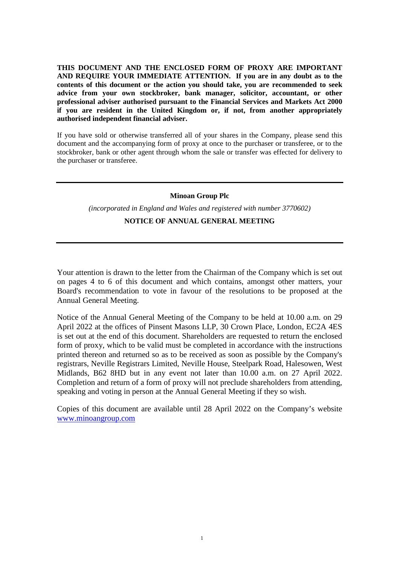**THIS DOCUMENT AND THE ENCLOSED FORM OF PROXY ARE IMPORTANT AND REQUIRE YOUR IMMEDIATE ATTENTION. If you are in any doubt as to the contents of this document or the action you should take, you are recommended to seek advice from your own stockbroker, bank manager, solicitor, accountant, or other professional adviser authorised pursuant to the Financial Services and Markets Act 2000 if you are resident in the United Kingdom or, if not, from another appropriately authorised independent financial adviser.** 

If you have sold or otherwise transferred all of your shares in the Company, please send this document and the accompanying form of proxy at once to the purchaser or transferee, or to the stockbroker, bank or other agent through whom the sale or transfer was effected for delivery to the purchaser or transferee.

## **Minoan Group Plc**

*(incorporated in England and Wales and registered with number 3770602)* 

# **NOTICE OF ANNUAL GENERAL MEETING**

Your attention is drawn to the letter from the Chairman of the Company which is set out on pages 4 to 6 of this document and which contains, amongst other matters, your Board's recommendation to vote in favour of the resolutions to be proposed at the Annual General Meeting.

Notice of the Annual General Meeting of the Company to be held at 10.00 a.m. on 29 April 2022 at the offices of Pinsent Masons LLP, 30 Crown Place, London, EC2A 4ES is set out at the end of this document. Shareholders are requested to return the enclosed form of proxy, which to be valid must be completed in accordance with the instructions printed thereon and returned so as to be received as soon as possible by the Company's registrars, Neville Registrars Limited, Neville House, Steelpark Road, Halesowen, West Midlands, B62 8HD but in any event not later than 10.00 a.m. on 27 April 2022. Completion and return of a form of proxy will not preclude shareholders from attending, speaking and voting in person at the Annual General Meeting if they so wish.

Copies of this document are available until 28 April 2022 on the Company's website www.minoangroup.com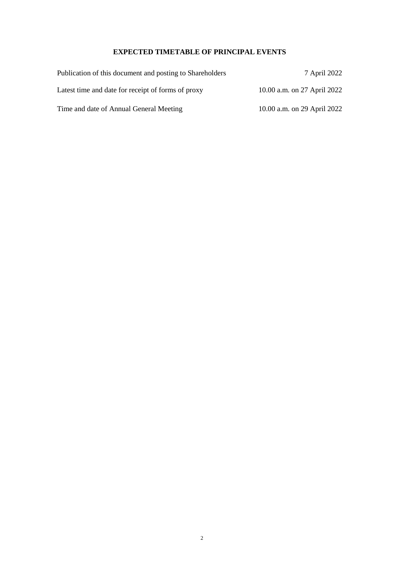# **EXPECTED TIMETABLE OF PRINCIPAL EVENTS**

| Publication of this document and posting to Shareholders | 7 April 2022                |
|----------------------------------------------------------|-----------------------------|
| Latest time and date for receipt of forms of proxy       | 10.00 a.m. on 27 April 2022 |
| Time and date of Annual General Meeting                  | 10.00 a.m. on 29 April 2022 |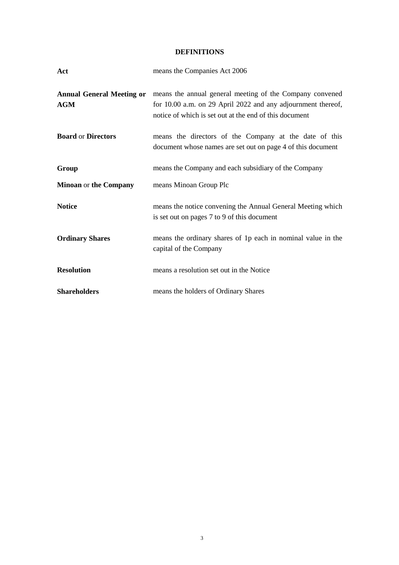# **DEFINITIONS**

| Act                          | means the Companies Act 2006                                                                                                                                                                                        |
|------------------------------|---------------------------------------------------------------------------------------------------------------------------------------------------------------------------------------------------------------------|
| <b>AGM</b>                   | <b>Annual General Meeting or</b> means the annual general meeting of the Company convened<br>for 10.00 a.m. on 29 April 2022 and any adjournment thereof,<br>notice of which is set out at the end of this document |
| <b>Board or Directors</b>    | means the directors of the Company at the date of this<br>document whose names are set out on page 4 of this document                                                                                               |
| Group                        | means the Company and each subsidiary of the Company                                                                                                                                                                |
| <b>Minoan or the Company</b> | means Minoan Group Plc                                                                                                                                                                                              |
| <b>Notice</b>                | means the notice convening the Annual General Meeting which<br>is set out on pages 7 to 9 of this document                                                                                                          |
| <b>Ordinary Shares</b>       | means the ordinary shares of 1p each in nominal value in the<br>capital of the Company                                                                                                                              |
| <b>Resolution</b>            | means a resolution set out in the Notice                                                                                                                                                                            |
| <b>Shareholders</b>          | means the holders of Ordinary Shares                                                                                                                                                                                |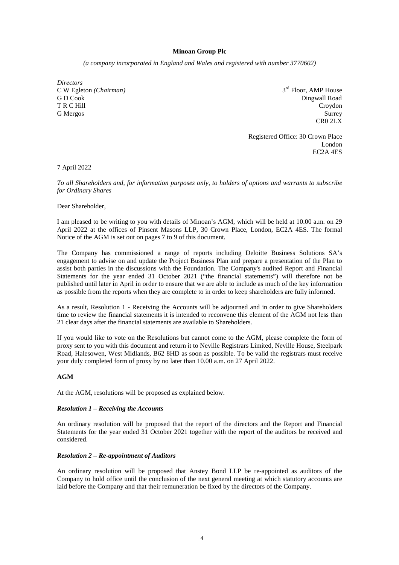## **Minoan Group Plc**

*(a company incorporated in England and Wales and registered with number 3770602)* 

*Directors*  C W Egleton *(Chairman)* 3 G D Cook Dingwall Road Cook Dingwall Road Cook Dingwall Road Cook Dingwall Road Cook Dingwall Road Cook Dingwall Road Cook Dingwall Road Cook Dingwall Road Cook Dingwall Road Cook Dingwall Road Cook Dingwall Road Cook Ding T R C Hill Croydon

3<sup>rd</sup> Floor, AMP House G Mergos Surrey Surrey Surrey Surrey Surrey Surrey Surrey Surrey Surrey Surrey Surrey Surrey Surrey Surrey Surrey Surrey Surrey Surrey Surrey Surrey Surrey Surrey Surrey Surrey Surrey Surrey Surrey Surrey Surrey Surrey Sur CR0 2LX

> Registered Office: 30 Crown Place London EC2A 4ES

7 April 2022

*To all Shareholders and, for information purposes only, to holders of options and warrants to subscribe for Ordinary Shares* 

#### Dear Shareholder,

I am pleased to be writing to you with details of Minoan's AGM, which will be held at 10.00 a.m. on 29 April 2022 at the offices of Pinsent Masons LLP, 30 Crown Place, London, EC2A 4ES. The formal Notice of the AGM is set out on pages 7 to 9 of this document.

The Company has commissioned a range of reports including Deloitte Business Solutions SA's engagement to advise on and update the Project Business Plan and prepare a presentation of the Plan to assist both parties in the discussions with the Foundation. The Company's audited Report and Financial Statements for the year ended 31 October 2021 ("the financial statements") will therefore not be published until later in April in order to ensure that we are able to include as much of the key information as possible from the reports when they are complete to in order to keep shareholders are fully informed.

As a result, Resolution 1 - Receiving the Accounts will be adjourned and in order to give Shareholders time to review the financial statements it is intended to reconvene this element of the AGM not less than 21 clear days after the financial statements are available to Shareholders.

If you would like to vote on the Resolutions but cannot come to the AGM, please complete the form of proxy sent to you with this document and return it to Neville Registrars Limited, Neville House, Steelpark Road, Halesowen, West Midlands, B62 8HD as soon as possible. To be valid the registrars must receive your duly completed form of proxy by no later than 10.00 a.m. on 27 April 2022.

## **AGM**

At the AGM, resolutions will be proposed as explained below.

#### *Resolution 1 – Receiving the Accounts*

An ordinary resolution will be proposed that the report of the directors and the Report and Financial Statements for the year ended 31 October 2021 together with the report of the auditors be received and considered.

#### *Resolution 2 – Re-appointment of Auditors*

An ordinary resolution will be proposed that Anstey Bond LLP be re-appointed as auditors of the Company to hold office until the conclusion of the next general meeting at which statutory accounts are laid before the Company and that their remuneration be fixed by the directors of the Company.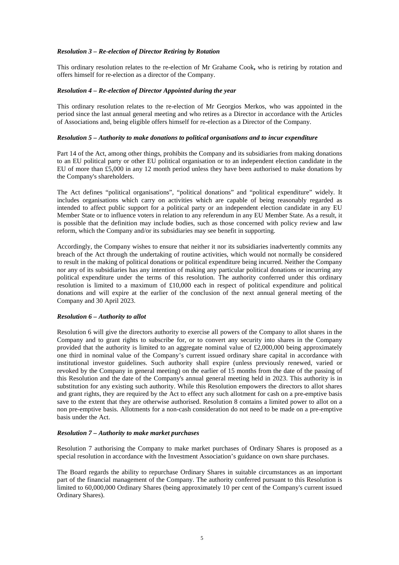## *Resolution 3 – Re-election of Director Retiring by Rotation*

This ordinary resolution relates to the re-election of Mr Grahame Cook**,** who is retiring by rotation and offers himself for re-election as a director of the Company.

## *Resolution 4 – Re-election of Director Appointed during the year*

This ordinary resolution relates to the re-election of Mr Georgios Merkos, who was appointed in the period since the last annual general meeting and who retires as a Director in accordance with the Articles of Associations and, being eligible offers himself for re-election as a Director of the Company.

#### *Resolution 5 – Authority to make donations to political organisations and to incur expenditure*

Part 14 of the Act, among other things, prohibits the Company and its subsidiaries from making donations to an EU political party or other EU political organisation or to an independent election candidate in the EU of more than £5,000 in any 12 month period unless they have been authorised to make donations by the Company's shareholders.

The Act defines "political organisations", "political donations" and "political expenditure" widely. It includes organisations which carry on activities which are capable of being reasonably regarded as intended to affect public support for a political party or an independent election candidate in any EU Member State or to influence voters in relation to any referendum in any EU Member State. As a result, it is possible that the definition may include bodies, such as those concerned with policy review and law reform, which the Company and/or its subsidiaries may see benefit in supporting.

Accordingly, the Company wishes to ensure that neither it nor its subsidiaries inadvertently commits any breach of the Act through the undertaking of routine activities, which would not normally be considered to result in the making of political donations or political expenditure being incurred. Neither the Company nor any of its subsidiaries has any intention of making any particular political donations or incurring any political expenditure under the terms of this resolution. The authority conferred under this ordinary resolution is limited to a maximum of £10,000 each in respect of political expenditure and political donations and will expire at the earlier of the conclusion of the next annual general meeting of the Company and 30 April 2023.

## *Resolution 6 – Authority to allot*

Resolution 6 will give the directors authority to exercise all powers of the Company to allot shares in the Company and to grant rights to subscribe for, or to convert any security into shares in the Company provided that the authority is limited to an aggregate nominal value of £2,000,000 being approximately one third in nominal value of the Company's current issued ordinary share capital in accordance with institutional investor guidelines. Such authority shall expire (unless previously renewed, varied or revoked by the Company in general meeting) on the earlier of 15 months from the date of the passing of this Resolution and the date of the Company's annual general meeting held in 2023. This authority is in substitution for any existing such authority. While this Resolution empowers the directors to allot shares and grant rights, they are required by the Act to effect any such allotment for cash on a pre-emptive basis save to the extent that they are otherwise authorised. Resolution 8 contains a limited power to allot on a non pre-emptive basis. Allotments for a non-cash consideration do not need to be made on a pre-emptive basis under the Act.

#### *Resolution 7 – Authority to make market purchases*

Resolution 7 authorising the Company to make market purchases of Ordinary Shares is proposed as a special resolution in accordance with the Investment Association's guidance on own share purchases.

The Board regards the ability to repurchase Ordinary Shares in suitable circumstances as an important part of the financial management of the Company. The authority conferred pursuant to this Resolution is limited to 60,000,000 Ordinary Shares (being approximately 10 per cent of the Company's current issued Ordinary Shares).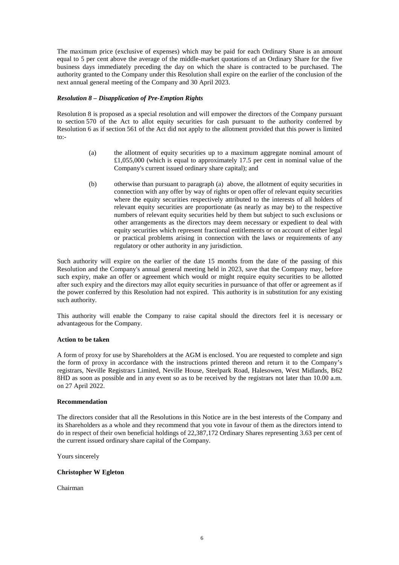The maximum price (exclusive of expenses) which may be paid for each Ordinary Share is an amount equal to 5 per cent above the average of the middle-market quotations of an Ordinary Share for the five business days immediately preceding the day on which the share is contracted to be purchased. The authority granted to the Company under this Resolution shall expire on the earlier of the conclusion of the next annual general meeting of the Company and 30 April 2023.

## *Resolution 8 – Disapplication of Pre-Emption Rights*

Resolution 8 is proposed as a special resolution and will empower the directors of the Company pursuant to section 570 of the Act to allot equity securities for cash pursuant to the authority conferred by Resolution 6 as if section 561 of the Act did not apply to the allotment provided that this power is limited to:-

- (a) the allotment of equity securities up to a maximum aggregate nominal amount of £1,055,000 (which is equal to approximately 17.5 per cent in nominal value of the Company's current issued ordinary share capital); and
- (b) otherwise than pursuant to paragraph (a) above, the allotment of equity securities in connection with any offer by way of rights or open offer of relevant equity securities where the equity securities respectively attributed to the interests of all holders of relevant equity securities are proportionate (as nearly as may be) to the respective numbers of relevant equity securities held by them but subject to such exclusions or other arrangements as the directors may deem necessary or expedient to deal with equity securities which represent fractional entitlements or on account of either legal or practical problems arising in connection with the laws or requirements of any regulatory or other authority in any jurisdiction.

Such authority will expire on the earlier of the date 15 months from the date of the passing of this Resolution and the Company's annual general meeting held in 2023, save that the Company may, before such expiry, make an offer or agreement which would or might require equity securities to be allotted after such expiry and the directors may allot equity securities in pursuance of that offer or agreement as if the power conferred by this Resolution had not expired. This authority is in substitution for any existing such authority.

This authority will enable the Company to raise capital should the directors feel it is necessary or advantageous for the Company.

#### **Action to be taken**

A form of proxy for use by Shareholders at the AGM is enclosed. You are requested to complete and sign the form of proxy in accordance with the instructions printed thereon and return it to the Company's registrars, Neville Registrars Limited, Neville House, Steelpark Road, Halesowen, West Midlands, B62 8HD as soon as possible and in any event so as to be received by the registrars not later than 10.00 a.m. on 27 April 2022.

#### **Recommendation**

The directors consider that all the Resolutions in this Notice are in the best interests of the Company and its Shareholders as a whole and they recommend that you vote in favour of them as the directors intend to do in respect of their own beneficial holdings of 22,387,172 Ordinary Shares representing 3.63 per cent of the current issued ordinary share capital of the Company.

Yours sincerely

## **Christopher W Egleton**

Chairman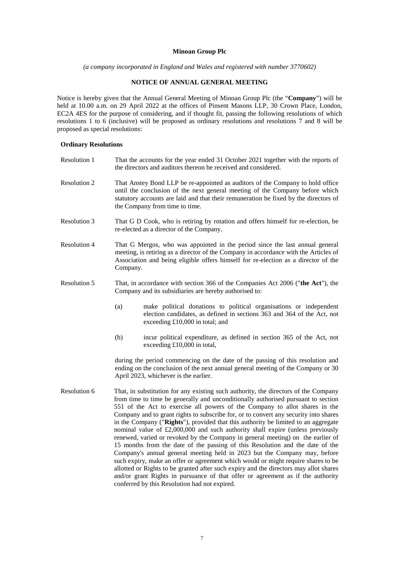## **Minoan Group Plc**

*(a company incorporated in England and Wales and registered with number 3770602)* 

## **NOTICE OF ANNUAL GENERAL MEETING**

Notice is hereby given that the Annual General Meeting of Minoan Group Plc (the "**Company**") will be held at 10.00 a.m. on 29 April 2022 at the offices of Pinsent Masons LLP, 30 Crown Place, London, EC2A 4ES for the purpose of considering, and if thought fit, passing the following resolutions of which resolutions 1 to 6 (inclusive) will be proposed as ordinary resolutions and resolutions 7 and 8 will be proposed as special resolutions:

## **Ordinary Resolutions**

| Resolution 1        | That the accounts for the year ended 31 October 2021 together with the reports of<br>the directors and auditors thereon be received and considered.                                                                                                                                                                                                                                                                                                                                                                                                                                                                                                                                                                                                                                                                                                                                                                                                                                                                                                                                        |  |
|---------------------|--------------------------------------------------------------------------------------------------------------------------------------------------------------------------------------------------------------------------------------------------------------------------------------------------------------------------------------------------------------------------------------------------------------------------------------------------------------------------------------------------------------------------------------------------------------------------------------------------------------------------------------------------------------------------------------------------------------------------------------------------------------------------------------------------------------------------------------------------------------------------------------------------------------------------------------------------------------------------------------------------------------------------------------------------------------------------------------------|--|
| Resolution 2        | That Anstey Bond LLP be re-appointed as auditors of the Company to hold office<br>until the conclusion of the next general meeting of the Company before which<br>statutory accounts are laid and that their remuneration be fixed by the directors of<br>the Company from time to time.                                                                                                                                                                                                                                                                                                                                                                                                                                                                                                                                                                                                                                                                                                                                                                                                   |  |
| Resolution 3        | That G D Cook, who is retiring by rotation and offers himself for re-election, be<br>re-elected as a director of the Company.                                                                                                                                                                                                                                                                                                                                                                                                                                                                                                                                                                                                                                                                                                                                                                                                                                                                                                                                                              |  |
| Resolution 4        | That G Mergos, who was appointed in the period since the last annual general<br>meeting, is retiring as a director of the Company in accordance with the Articles of<br>Association and being eligible offers himself for re-election as a director of the<br>Company.                                                                                                                                                                                                                                                                                                                                                                                                                                                                                                                                                                                                                                                                                                                                                                                                                     |  |
| <b>Resolution 5</b> | That, in accordance with section 366 of the Companies Act 2006 ("the Act"), the<br>Company and its subsidiaries are hereby authorised to:                                                                                                                                                                                                                                                                                                                                                                                                                                                                                                                                                                                                                                                                                                                                                                                                                                                                                                                                                  |  |
|                     | make political donations to political organisations or independent<br>(a)<br>election candidates, as defined in sections 363 and 364 of the Act, not<br>exceeding £10,000 in total; and                                                                                                                                                                                                                                                                                                                                                                                                                                                                                                                                                                                                                                                                                                                                                                                                                                                                                                    |  |
|                     | (b)<br>incur political expenditure, as defined in section 365 of the Act, not<br>exceeding £10,000 in total,                                                                                                                                                                                                                                                                                                                                                                                                                                                                                                                                                                                                                                                                                                                                                                                                                                                                                                                                                                               |  |
|                     | during the period commencing on the date of the passing of this resolution and<br>ending on the conclusion of the next annual general meeting of the Company or 30<br>April 2023, whichever is the earlier.                                                                                                                                                                                                                                                                                                                                                                                                                                                                                                                                                                                                                                                                                                                                                                                                                                                                                |  |
| Resolution 6        | That, in substitution for any existing such authority, the directors of the Company<br>from time to time be generally and unconditionally authorised pursuant to section<br>551 of the Act to exercise all powers of the Company to allot shares in the<br>Company and to grant rights to subscribe for, or to convert any security into shares<br>in the Company ("Rights"), provided that this authority be limited to an aggregate<br>nominal value of £2,000,000 and such authority shall expire (unless previously<br>renewed, varied or revoked by the Company in general meeting) on the earlier of<br>15 months from the date of the passing of this Resolution and the date of the<br>Company's annual general meeting held in 2023 but the Company may, before<br>such expiry, make an offer or agreement which would or might require shares to be<br>allotted or Rights to be granted after such expiry and the directors may allot shares<br>and/or grant Rights in pursuance of that offer or agreement as if the authority<br>conferred by this Resolution had not expired. |  |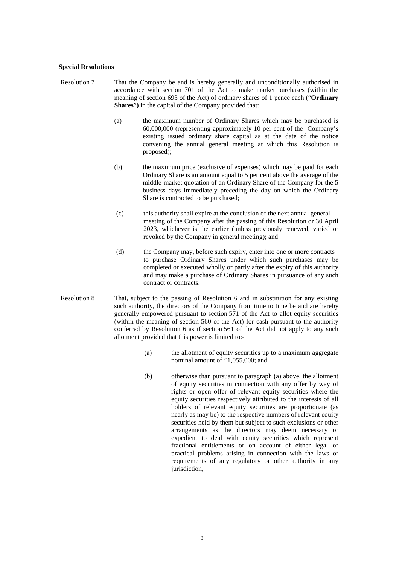#### **Special Resolutions**

- Resolution 7 That the Company be and is hereby generally and unconditionally authorised in accordance with section 701 of the Act to make market purchases (within the meaning of section 693 of the Act) of ordinary shares of 1 pence each ("**Ordinary Shares**"**)** in the capital of the Company provided that:
	- (a) the maximum number of Ordinary Shares which may be purchased is 60,000,000 (representing approximately 10 per cent of the Company's existing issued ordinary share capital as at the date of the notice convening the annual general meeting at which this Resolution is proposed);
	- (b) the maximum price (exclusive of expenses) which may be paid for each Ordinary Share is an amount equal to 5 per cent above the average of the middle-market quotation of an Ordinary Share of the Company for the 5 business days immediately preceding the day on which the Ordinary Share is contracted to be purchased;
	- (c) this authority shall expire at the conclusion of the next annual general meeting of the Company after the passing of this Resolution or 30 April 2023, whichever is the earlier (unless previously renewed, varied or revoked by the Company in general meeting); and
	- (d) the Company may, before such expiry, enter into one or more contracts to purchase Ordinary Shares under which such purchases may be completed or executed wholly or partly after the expiry of this authority and may make a purchase of Ordinary Shares in pursuance of any such contract or contracts.
- Resolution 8 That, subject to the passing of Resolution 6 and in substitution for any existing such authority, the directors of the Company from time to time be and are hereby generally empowered pursuant to section 571 of the Act to allot equity securities (within the meaning of section 560 of the Act) for cash pursuant to the authority conferred by Resolution 6 as if section 561 of the Act did not apply to any such allotment provided that this power is limited to:-
	- (a) the allotment of equity securities up to a maximum aggregate nominal amount of £1,055,000; and
	- (b) otherwise than pursuant to paragraph (a) above, the allotment of equity securities in connection with any offer by way of rights or open offer of relevant equity securities where the equity securities respectively attributed to the interests of all holders of relevant equity securities are proportionate (as nearly as may be) to the respective numbers of relevant equity securities held by them but subject to such exclusions or other arrangements as the directors may deem necessary or expedient to deal with equity securities which represent fractional entitlements or on account of either legal or practical problems arising in connection with the laws or requirements of any regulatory or other authority in any jurisdiction,